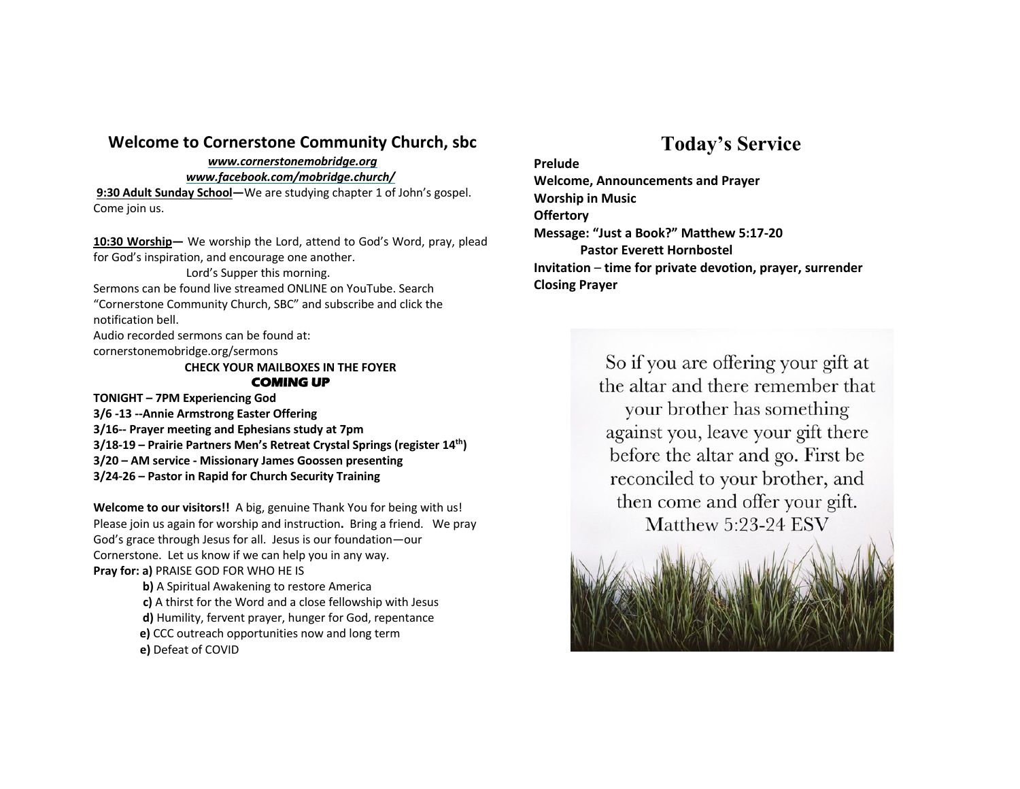## **Welcome to Cornerstone Community Church, sbc**

*www.cornerstonemobridge.org*

*www.facebook.com/mobridge.church/*

**9:30 Adult Sunday School—**We are studying chapter 1 of John's gospel. Come join us.

**10:30 Worship—** We worship the Lord, attend to God's Word, pray, plead for God's inspiration, and encourage one another.

Lord's Supper this morning. Sermons can be found live streamed ONLINE on YouTube. Search "Cornerstone Community Church, SBC" and subscribe and click the notification bell.

Audio recorded sermons can be found at: cornerstonemobridge.org/sermons

> **CHECK YOUR MAILBOXES IN THE FOYER COMING UP**

**TONIGHT – 7PM Experiencing God 3/6 -13 --Annie Armstrong Easter Offering 3/16-- Prayer meeting and Ephesians study at 7pm 3/18-19 – Prairie Partners Men's Retreat Crystal Springs (register 14th) 3/20 – AM service - Missionary James Goossen presenting 3/24-26 – Pastor in Rapid for Church Security Training**

**Welcome to our visitors!!** A big, genuine Thank You for being with us! Please join us again for worship and instruction**.** Bring a friend. We pray God's grace through Jesus for all. Jesus is our foundation—our Cornerstone. Let us know if we can help you in any way. **Pray for: a)** PRAISE GOD FOR WHO HE IS

> **b)** A Spiritual Awakening to restore America **c)** A thirst for the Word and a close fellowship with Jesus **d)** Humility, fervent prayer, hunger for God, repentance **e)** CCC outreach opportunities now and long term **e)** Defeat of COVID

## **Today's Service**

**Prelude Welcome, Announcements and Prayer Worship in Music Offertory Message: "Just a Book?" Matthew 5:17-20 Pastor Everett Hornbostel Invitation** – **time for private devotion, prayer, surrender Closing Prayer**

> So if you are offering your gift at the altar and there remember that your brother has something against you, leave your gift there before the altar and go. First be reconciled to your brother, and then come and offer your gift. Matthew 5:23-24 ESV